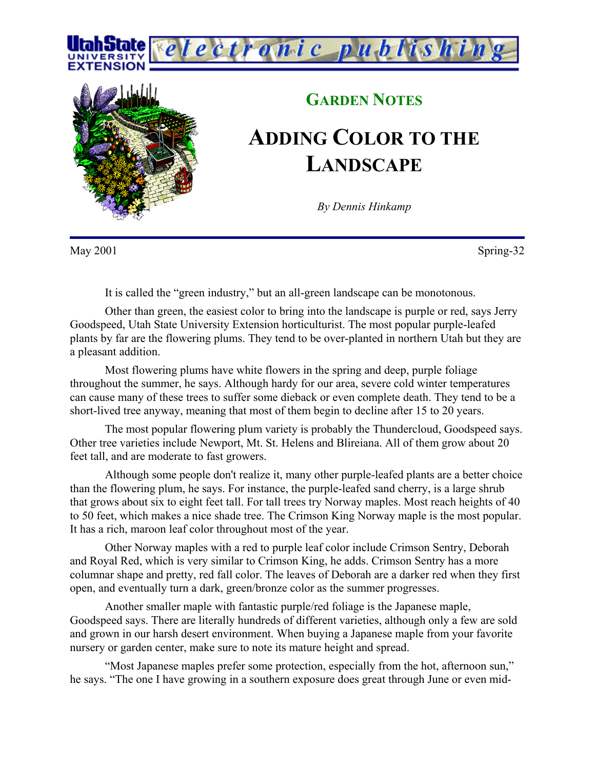



## **GARDEN NOTES ADDING COLOR TO THE**

*conic publishi* 

## **LANDSCAPE**

*By Dennis Hinkamp*

May 2001 Spring-32

It is called the "green industry," but an all-green landscape can be monotonous.

Other than green, the easiest color to bring into the landscape is purple or red, says Jerry Goodspeed, Utah State University Extension horticulturist. The most popular purple-leafed plants by far are the flowering plums. They tend to be over-planted in northern Utah but they are a pleasant addition.

Most flowering plums have white flowers in the spring and deep, purple foliage throughout the summer, he says. Although hardy for our area, severe cold winter temperatures can cause many of these trees to suffer some dieback or even complete death. They tend to be a short-lived tree anyway, meaning that most of them begin to decline after 15 to 20 years.

The most popular flowering plum variety is probably the Thundercloud, Goodspeed says. Other tree varieties include Newport, Mt. St. Helens and Blireiana. All of them grow about 20 feet tall, and are moderate to fast growers.

Although some people don't realize it, many other purple-leafed plants are a better choice than the flowering plum, he says. For instance, the purple-leafed sand cherry, is a large shrub that grows about six to eight feet tall. For tall trees try Norway maples. Most reach heights of 40 to 50 feet, which makes a nice shade tree. The Crimson King Norway maple is the most popular. It has a rich, maroon leaf color throughout most of the year.

Other Norway maples with a red to purple leaf color include Crimson Sentry, Deborah and Royal Red, which is very similar to Crimson King, he adds. Crimson Sentry has a more columnar shape and pretty, red fall color. The leaves of Deborah are a darker red when they first open, and eventually turn a dark, green/bronze color as the summer progresses.

Another smaller maple with fantastic purple/red foliage is the Japanese maple, Goodspeed says. There are literally hundreds of different varieties, although only a few are sold and grown in our harsh desert environment. When buying a Japanese maple from your favorite nursery or garden center, make sure to note its mature height and spread.

"Most Japanese maples prefer some protection, especially from the hot, afternoon sun," he says. "The one I have growing in a southern exposure does great through June or even mid